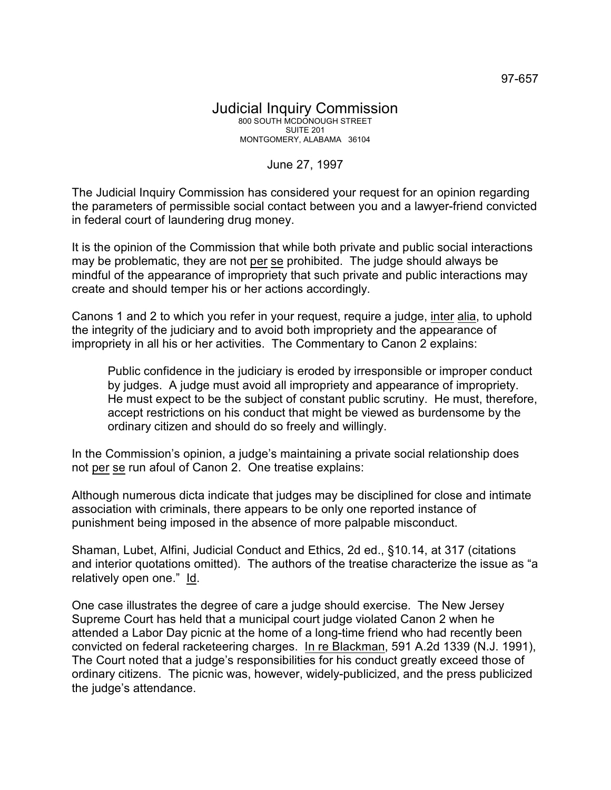## Judicial Inquiry Commission 800 SOUTH MCDONOUGH STREET SUITE 201 MONTGOMERY, ALABAMA 36104

## June 27, 1997

The Judicial Inquiry Commission has considered your request for an opinion regarding the parameters of permissible social contact between you and a lawyer-friend convicted in federal court of laundering drug money.

It is the opinion of the Commission that while both private and public social interactions may be problematic, they are not per se prohibited. The judge should always be mindful of the appearance of impropriety that such private and public interactions may create and should temper his or her actions accordingly.

Canons 1 and 2 to which you refer in your request, require a judge, inter alia, to uphold the integrity of the judiciary and to avoid both impropriety and the appearance of impropriety in all his or her activities. The Commentary to Canon 2 explains:

Public confidence in the judiciary is eroded by irresponsible or improper conduct by judges. A judge must avoid all impropriety and appearance of impropriety. He must expect to be the subject of constant public scrutiny. He must, therefore, accept restrictions on his conduct that might be viewed as burdensome by the ordinary citizen and should do so freely and willingly.

In the Commission's opinion, a judge's maintaining a private social relationship does not per se run afoul of Canon 2. One treatise explains:

Although numerous dicta indicate that judges may be disciplined for close and intimate association with criminals, there appears to be only one reported instance of punishment being imposed in the absence of more palpable misconduct.

Shaman, Lubet, Alfini, Judicial Conduct and Ethics, 2d ed., §10.14, at 317 (citations and interior quotations omitted). The authors of the treatise characterize the issue as "a relatively open one." Id.

One case illustrates the degree of care a judge should exercise. The New Jersey Supreme Court has held that a municipal court judge violated Canon 2 when he attended a Labor Day picnic at the home of a long-time friend who had recently been convicted on federal racketeering charges. In re Blackman, 591 A.2d 1339 (N.J. 1991), The Court noted that a judge's responsibilities for his conduct greatly exceed those of ordinary citizens. The picnic was, however, widely-publicized, and the press publicized the judge's attendance.